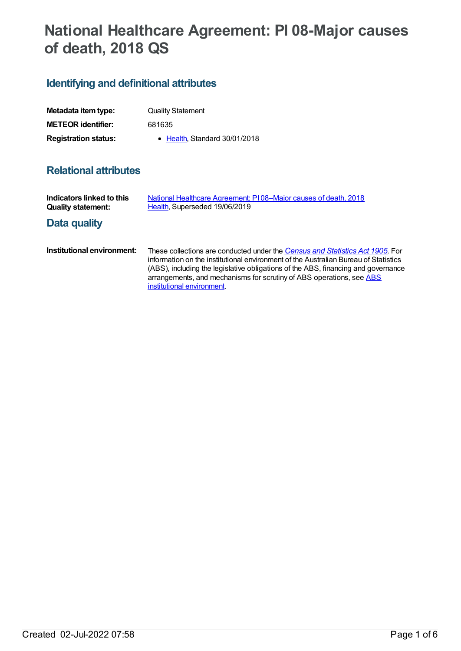# **National Healthcare Agreement: PI 08-Major causes of death, 2018 QS**

## **Identifying and definitional attributes**

| Metadata item type:         | <b>Quality Statement</b>      |
|-----------------------------|-------------------------------|
| <b>METEOR identifier:</b>   | 681635                        |
| <b>Registration status:</b> | • Health, Standard 30/01/2018 |

### **Relational attributes**

| Indicators linked to this<br><b>Quality statement:</b> | National Healthcare Agreement: PI08-Major causes of death, 2018<br>Health, Superseded 19/06/2019                                                                                                                                                                                                                                                                |
|--------------------------------------------------------|-----------------------------------------------------------------------------------------------------------------------------------------------------------------------------------------------------------------------------------------------------------------------------------------------------------------------------------------------------------------|
| Data quality                                           |                                                                                                                                                                                                                                                                                                                                                                 |
| Institutional environment:                             | These collections are conducted under the Census and Statistics Act 1905. For<br>information on the institutional environment of the Australian Bureau of Statistics<br>(ABS), including the legislative obligations of the ABS, financing and governance<br>arrangements, and mechanisms for scrutiny of ABS operations, see ABS<br>institutional environment. |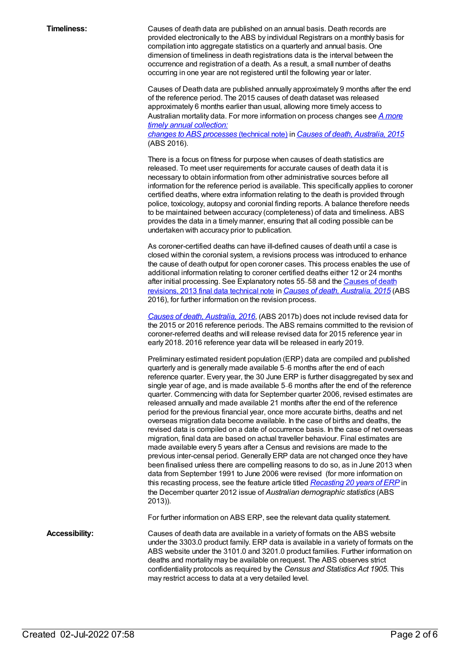**Timeliness:** Causes of death data are published on an annual basis. Death records are provided electronically to the ABS by individual Registrars on a monthly basis for compilation into aggregate statistics on a quarterly and annual basis. One dimension of timeliness in death registrations data is the interval between the occurrence and registration of a death. As a result, a small number of deaths occurring in one year are not registered until the following year or later.

> Causes of Death data are published annually approximately 9 months after the end of the reference period. The 2015 causes of death dataset was released approximately 6 months earlier than usual, allowing more timely access to Australian mortality data. For more [information](http://www.abs.gov.au/AUSSTATS/abs@.nsf/Previousproducts/3303.0Technical%20Note12015?opendocument&tabname=Notes&prodno=3303.0&issue=2015&num=&view=) on process changes see *A more timely annual collection: changes to ABS processes* (technical note) in *Causes of death, [Australia,](http://www.abs.gov.au/AUSSTATS/abs@.nsf/Lookup/3303.0Main+Features100012015?OpenDocument) 2015*

(ABS 2016).

There is a focus on fitness for purpose when causes of death statistics are released. To meet user requirements for accurate causes of death data it is necessary to obtain information from other administrative sources before all information for the reference period is available. This specifically applies to coroner certified deaths, where extra information relating to the death is provided through police, toxicology, autopsy and coronial finding reports. A balance therefore needs to be maintained between accuracy (completeness) of data and timeliness. ABS provides the data in a timely manner, ensuring that all coding possible can be undertaken with accuracy prior to publication.

As coroner-certified deaths can have ill-defined causes of death until a case is closed within the coronial system, a revisions process was introduced to enhance the cause of death output for open coroner cases. This process enables the use of additional information relating to coroner certified deaths either 12 or 24 months after initial processing. See [Explanatory](http://www.abs.gov.au/AUSSTATS/abs@.nsf/Previousproducts/3303.0Technical%20Note22015?opendocument&tabname=Notes&prodno=3303.0&issue=2015&num=&view=COD.docx) notes 55-58 and the Causes of death revisions, 2013 final data technical note in *Causes of death, [Australia,](http://www.abs.gov.au/AUSSTATS/abs@.nsf/Lookup/3303.0Main+Features100012015?OpenDocument) 2015* (ABS 2016), for further information on the revision process.

*Causes of death, [Australia,](http://www.abs.gov.au/AUSSTATS/abs@.nsf/allprimarymainfeatures/47E19CA15036B04BCA2577570014668B?opendocument) 2016*, (ABS 2017b) does not include revised data for the 2015 or 2016 reference periods. The ABS remains committed to the revision of coroner-referred deaths and will release revised data for 2015 reference year in early 2018. 2016 reference year data will be released in early 2019.

Preliminary estimated resident population (ERP) data are compiled and published quarterly and is generally made available 5–6 months after the end of each reference quarter. Every year, the 30 June ERP is further disaggregated by sex and single year of age, and is made available 5–6 months after the end of the reference quarter. Commencing with data for September quarter 2006, revised estimates are released annually and made available 21 months after the end of the reference period for the previous financial year, once more accurate births, deaths and net overseas migration data become available. In the case of births and deaths, the revised data is compiled on a date of occurrence basis. In the case of net overseas migration, final data are based on actual traveller behaviour. Final estimates are made available every 5 years after a Census and revisions are made to the previous inter-censal period. Generally ERP data are not changed once they have been finalised unless there are compelling reasons to do so, as in June 2013 when data from September 1991 to June 2006 were revised (for more information on this recasting process, see the feature article titled *[Recasting](http://www.abs.gov.au/AUSSTATS/abs@.nsf/Previousproducts/3101.0Feature%20Article2Dec%202012?opendocument&tabname=Summary&prodno=3101.0&issue=Dec%202012&num=&view=) 20 years of ERP* in the December quarter 2012 issue of *Australian demographic statistics* (ABS 2013)).

For further information on ABS ERP, see the relevant data quality statement.

**Accessibility:** Causes of death data are available in a variety of formats on the ABS website under the 3303.0 product family. ERP data is available in a variety of formats on the ABS website under the 3101.0 and 3201.0 product families. Further information on deaths and mortality may be available on request. The ABS observes strict confidentiality protocols as required by the *Census and Statistics Act 1905*. This may restrict access to data at a very detailed level.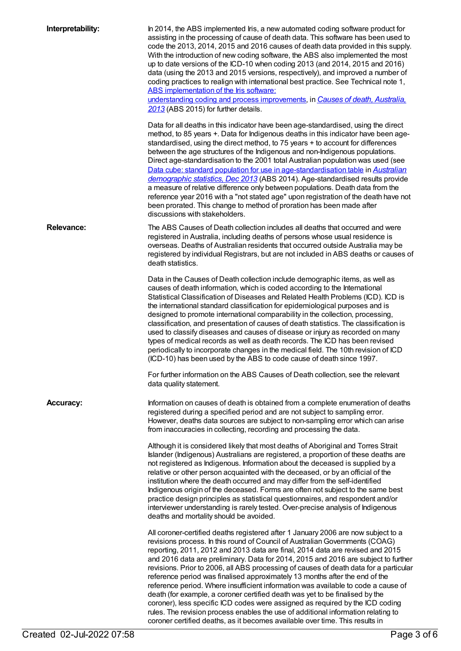| Interpretability: | In 2014, the ABS implemented Iris, a new automated coding software product for<br>assisting in the processing of cause of death data. This software has been used to<br>code the 2013, 2014, 2015 and 2016 causes of death data provided in this supply.<br>With the introduction of new coding software, the ABS also implemented the most<br>up to date versions of the ICD-10 when coding 2013 (and 2014, 2015 and 2016)<br>data (using the 2013 and 2015 versions, respectively), and improved a number of<br>coding practices to realign with international best practice. See Technical note 1,<br>ABS implementation of the Iris software:<br>understanding coding and process improvements, in Causes of death, Australia,<br>2013 (ABS 2015) for further details.<br>Data for all deaths in this indicator have been age-standardised, using the direct<br>method, to 85 years +. Data for Indigenous deaths in this indicator have been age-<br>standardised, using the direct method, to 75 years + to account for differences<br>between the age structures of the Indigenous and non-Indigenous populations.<br>Direct age-standardisation to the 2001 total Australian population was used (see<br>Data cube: standard population for use in age-standardisation table in Australian<br>demographic statistics, Dec 2013 (ABS 2014). Age-standardised results provide<br>a measure of relative difference only between populations. Death data from the<br>reference year 2016 with a "not stated age" upon registration of the death have not<br>been prorated. This change to method of proration has been made after<br>discussions with stakeholders. |
|-------------------|-------------------------------------------------------------------------------------------------------------------------------------------------------------------------------------------------------------------------------------------------------------------------------------------------------------------------------------------------------------------------------------------------------------------------------------------------------------------------------------------------------------------------------------------------------------------------------------------------------------------------------------------------------------------------------------------------------------------------------------------------------------------------------------------------------------------------------------------------------------------------------------------------------------------------------------------------------------------------------------------------------------------------------------------------------------------------------------------------------------------------------------------------------------------------------------------------------------------------------------------------------------------------------------------------------------------------------------------------------------------------------------------------------------------------------------------------------------------------------------------------------------------------------------------------------------------------------------------------------------------------------------------------------------------------|
| <b>Relevance:</b> | The ABS Causes of Death collection includes all deaths that occurred and were<br>registered in Australia, including deaths of persons whose usual residence is<br>overseas. Deaths of Australian residents that occurred outside Australia may be<br>registered by individual Registrars, but are not included in ABS deaths or causes of<br>death statistics.                                                                                                                                                                                                                                                                                                                                                                                                                                                                                                                                                                                                                                                                                                                                                                                                                                                                                                                                                                                                                                                                                                                                                                                                                                                                                                          |
|                   | Data in the Causes of Death collection include demographic items, as well as<br>causes of death information, which is coded according to the International<br>Statistical Classification of Diseases and Related Health Problems (ICD). ICD is<br>the international standard classification for epidemiological purposes and is<br>designed to promote international comparability in the collection, processing,<br>classification, and presentation of causes of death statistics. The classification is<br>used to classify diseases and causes of disease or injury as recorded on many<br>types of medical records as well as death records. The ICD has been revised<br>periodically to incorporate changes in the medical field. The 10th revision of ICD<br>(ICD-10) has been used by the ABS to code cause of death since 1997.                                                                                                                                                                                                                                                                                                                                                                                                                                                                                                                                                                                                                                                                                                                                                                                                                                |
|                   | For further information on the ABS Causes of Death collection, see the relevant<br>data quality statement.                                                                                                                                                                                                                                                                                                                                                                                                                                                                                                                                                                                                                                                                                                                                                                                                                                                                                                                                                                                                                                                                                                                                                                                                                                                                                                                                                                                                                                                                                                                                                              |
| <b>Accuracy:</b>  | Information on causes of death is obtained from a complete enumeration of deaths<br>registered during a specified period and are not subject to sampling error.<br>However, deaths data sources are subject to non-sampling error which can arise<br>from inaccuracies in collecting, recording and processing the data.                                                                                                                                                                                                                                                                                                                                                                                                                                                                                                                                                                                                                                                                                                                                                                                                                                                                                                                                                                                                                                                                                                                                                                                                                                                                                                                                                |
|                   | Although it is considered likely that most deaths of Aboriginal and Torres Strait<br>Islander (Indigenous) Australians are registered, a proportion of these deaths are<br>not registered as Indigenous. Information about the deceased is supplied by a<br>relative or other person acquainted with the deceased, or by an official of the<br>institution where the death occurred and may differ from the self-identified<br>Indigenous origin of the deceased. Forms are often not subject to the same best<br>practice design principles as statistical questionnaires, and respondent and/or<br>interviewer understanding is rarely tested. Over-precise analysis of Indigenous<br>deaths and mortality should be avoided.                                                                                                                                                                                                                                                                                                                                                                                                                                                                                                                                                                                                                                                                                                                                                                                                                                                                                                                                         |
|                   | All coroner-certified deaths registered after 1 January 2006 are now subject to a<br>revisions process. In this round of Council of Australian Governments (COAG)<br>reporting, 2011, 2012 and 2013 data are final, 2014 data are revised and 2015<br>and 2016 data are preliminary. Data for 2014, 2015 and 2016 are subject to further<br>revisions. Prior to 2006, all ABS processing of causes of death data for a particular<br>reference period was finalised approximately 13 months after the end of the<br>reference period. Where insufficient information was available to code a cause of<br>death (for example, a coroner certified death was yet to be finalised by the<br>coroner), less specific ICD codes were assigned as required by the ICD coding<br>rules. The revision process enables the use of additional information relating to<br>coroner certified deaths, as it becomes available over time. This results in                                                                                                                                                                                                                                                                                                                                                                                                                                                                                                                                                                                                                                                                                                                             |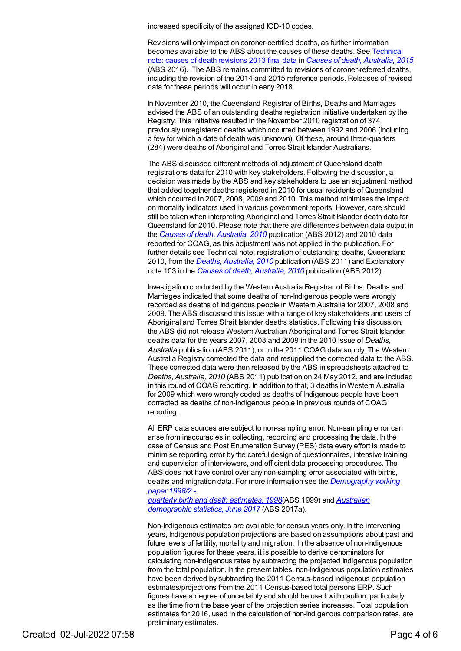increased specificity of the assigned ICD-10 codes.

Revisions will only impact on coroner-certified deaths, as further information [becomes](http://www.abs.gov.au/AUSSTATS/abs@.nsf/Previousproducts/3303.0Technical%20Note22015?opendocument&tabname=Notes&prodno=3303.0&issue=2015&num=&view=COD.docx) available to the ABS about the causes of these deaths. See Technical note: causes of death revisions 2013 final data in *Causes of death, [Australia,](http://www.abs.gov.au/AUSSTATS/abs@.nsf/allprimarymainfeatures/2ABFC8DC5C3C53A9CA2581A7001599A3?opendocument) 2015* (ABS 2016). The ABS remains committed to revisions of coroner-referred deaths, including the revision of the 2014 and 2015 reference periods. Releases of revised data for these periods will occur in early 2018.

In November 2010, the Queensland Registrar of Births, Deaths and Marriages advised the ABS of an outstanding deaths registration initiative undertaken by the Registry. This initiative resulted in the November 2010 registration of 374 previously unregistered deaths which occurred between 1992 and 2006 (including a few for which a date of death was unknown). Of these, around three-quarters (284) were deaths of Aboriginal and Torres Strait Islander Australians.

The ABS discussed different methods of adjustment of Queensland death registrations data for 2010 with key stakeholders. Following the discussion, a decision was made by the ABS and key stakeholders to use an adjustment method that added together deaths registered in 2010 for usual residents of Queensland which occurred in 2007, 2008, 2009 and 2010. This method minimises the impact on mortality indicators used in various government reports. However, care should still be taken when interpreting Aboriginal and Torres Strait Islander death data for Queensland for 2010. Please note that there are differences between data output in the *Causes of death, [Australia,](http://www.abs.gov.au/AUSSTATS/abs@.nsf/Lookup/3303.0Main+Features12010?OpenDocument) 2010* publication (ABS 2012) and 2010 data reported for COAG, as this adjustment was not applied in the publication. For further details see Technical note: registration of outstanding deaths, Queensland 2010, from the *Deaths, [Australia,](http://www.abs.gov.au/AUSSTATS/abs@.nsf/allprimarymainfeatures/8CE24F3B3F710F8FCA257AAF0013D433?opendocument) 2010* publication (ABS 2011) and Explanatory note 103 in the *Causes of death, [Australia,](http://www.abs.gov.au/AUSSTATS/abs@.nsf/allprimarymainfeatures/F941C630073EA7A8CA257B2E000D80F0?opendocument) 2010* publication (ABS 2012).

Investigation conducted by the Western Australia Registrar of Births, Deaths and Marriages indicated that some deaths of non-Indigenous people were wrongly recorded as deaths of Indigenous people in Western Australia for 2007, 2008 and 2009. The ABS discussed this issue with a range of key stakeholders and users of Aboriginal and Torres Strait Islander deaths statistics. Following this discussion, the ABS did not release Western Australian Aboriginal and Torres Strait Islander deaths data for the years 2007, 2008 and 2009 in the 2010 issue of *Deaths, Australia* publication (ABS 2011), or in the 2011 COAG data supply. The Western Australia Registry corrected the data and resupplied the corrected data to the ABS. These corrected data were then released by the ABS in spreadsheets attached to *Deaths, Australia, 2010* (ABS 2011) publication on 24 May 2012, and are included in this round of COAG reporting. In addition to that, 3 deaths in Western Australia for 2009 which were wrongly coded as deaths of Indigenous people have been corrected as deaths of non-indigenous people in previous rounds of COAG reporting.

All ERP data sources are subject to non-sampling error. Non-sampling error can arise from inaccuracies in collecting, recording and processing the data. In the case of Census and Post Enumeration Survey (PES) data every effort is made to minimise reporting error by the careful design of questionnaires, intensive training and supervision of interviewers, and efficient data processing procedures. The ABS does not have control over any non-sampling error associated with births, deaths and migration data. For more information see the *[Demography](http://www.abs.gov.au/AUSSTATS/abs@.nsf/ProductsbyCatalogue/B5BE54544A5DAFEFCA257061001F4540?OpenDocument) working paper 1998/2 -*

*quarterly birth and death estimates, 1998*(ABS 1999) and *Australian [demographic](http://www.abs.gov.au/AUSSTATS/abs@.nsf/second+level+view?ReadForm&prodno=3101.0&viewtitle=Australian%20Demographic%20Statistics~Sep%202016~Latest~23/03/2017&&tabname=Past%20Future%20Issues&prodno=3101.0&issue=Sep%202016&num=&view=&) statistics, June 2017* (ABS 2017a).

Non-Indigenous estimates are available for census years only. In the intervening years, Indigenous population projections are based on assumptions about past and future levels of fertility, mortality and migration. In the absence of non-Indigenous population figures for these years, it is possible to derive denominators for calculating non-Indigenous rates by subtracting the projected Indigenous population from the total population. In the present tables, non-Indigenous population estimates have been derived by subtracting the 2011 Census-based Indigenous population estimates/projections from the 2011 Census-based total persons ERP. Such figures have a degree of uncertainty and should be used with caution, particularly as the time from the base year of the projection series increases. Total population estimates for 2016, used in the calculation of non-Indigenous comparison rates, are preliminary estimates.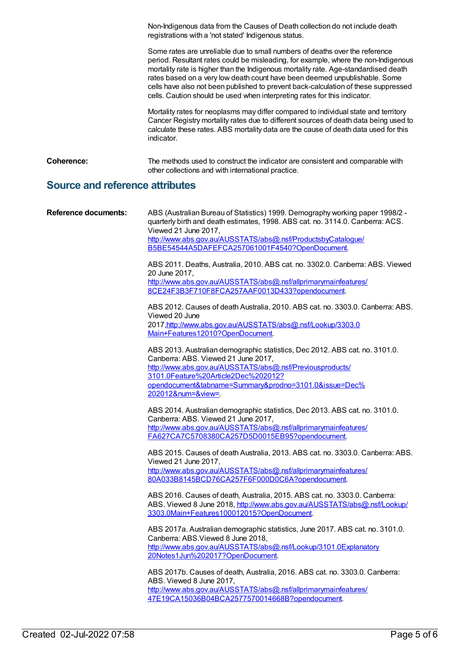Non-Indigenous data from the Causes of Death collection do not include death registrations with a 'not stated' Indigenous status.

Some rates are unreliable due to small numbers of deaths over the reference period. Resultant rates could be misleading, for example, where the non-Indigenous mortality rate is higher than the Indigenous mortality rate. Age-standardised death rates based on a very low death count have been deemed unpublishable. Some cells have also not been published to prevent back-calculation of these suppressed cells. Caution should be used when interpreting rates for this indicator.

Mortality rates for neoplasms may differ compared to individual state and territory Cancer Registry mortality rates due to different sources of death data being used to calculate these rates. ABS mortality data are the cause of death data used for this indicator.

**Coherence:** The methods used to construct the indicator are consistent and comparable with other collections and with international practice.

#### **Source and reference attributes**

| <b>Reference documents:</b> | ABS (Australian Bureau of Statistics) 1999. Demography working paper 1998/2 -<br>quarterly birth and death estimates, 1998. ABS cat. no. 3114.0. Canberra: ACS.<br>Viewed 21 June 2017,<br>http://www.abs.gov.au/AUSSTATS/abs@.nsf/ProductsbyCatalogue/<br>B5BE54544A5DAFEFCA257061001F4540?OpenDocument. |
|-----------------------------|-----------------------------------------------------------------------------------------------------------------------------------------------------------------------------------------------------------------------------------------------------------------------------------------------------------|
|                             | ABS 2011. Deaths, Australia, 2010. ABS cat. no. 3302.0. Canberra: ABS. Viewed<br>20 June 2017,<br>http://www.abs.gov.au/AUSSTATS/abs@.nsf/allprimarymainfeatures/<br>8CE24F3B3F710F8FCA257AAF0013D433?opendocument.                                                                                       |
|                             | ABS 2012. Causes of death Australia, 2010. ABS cat. no. 3303.0. Canberra: ABS.<br>Viewed 20 June<br>2017, http://www.abs.gov.au/AUSSTATS/abs@.nsf/Lookup/3303.0<br>Main+Features12010?OpenDocument.                                                                                                       |
|                             | ABS 2013. Australian demographic statistics, Dec 2012. ABS cat. no. 3101.0.<br>Canberra: ABS. Viewed 21 June 2017,<br>http://www.abs.gov.au/AUSSTATS/abs@.nsf/Previousproducts/<br>3101.0Feature%20Article2Dec%202012?<br>opendocument&tabname=Summary&prodno=3101.0&issue=Dec%<br>202012#=&view=         |
|                             | ABS 2014. Australian demographic statistics, Dec 2013. ABS cat. no. 3101.0.<br>Canberra: ABS. Viewed 21 June 2017,<br>http://www.abs.gov.au/AUSSTATS/abs@.nsf/allprimarymainfeatures/<br>FA627CA7C5708380CA257D5D0015EB95?opendocument.                                                                   |
|                             | ABS 2015. Causes of death Australia, 2013. ABS cat. no. 3303.0. Canberra: ABS.<br>Viewed 21 June 2017,<br>http://www.abs.gov.au/AUSSTATS/abs@.nsf/allprimarymainfeatures/<br>80A033B8145BCD76CA257F6F000D0C6A?opendocument.                                                                               |
|                             | ABS 2016. Causes of death, Australia, 2015. ABS cat. no. 3303.0. Canberra:<br>ABS. Viewed 8 June 2018, http://www.abs.gov.au/AUSSTATS/abs@.nsf/Lookup/<br>3303.0Main+Features100012015?OpenDocument.                                                                                                      |
|                             | ABS 2017a. Australian demographic statistics, June 2017. ABS cat. no. 3101.0.<br>Canberra: ABS. Viewed 8 June 2018,<br>http://www.abs.gov.au/AUSSTATS/abs@.nsf/Lookup/3101.0Explanatory<br>20Notes1Jun%202017?OpenDocument.                                                                               |
|                             | ABS 2017b. Causes of death, Australia, 2016. ABS cat. no. 3303.0. Canberra:<br>ABS. Viewed 8 June 2017,<br>http://www.abs.gov.au/AUSSTATS/abs@.nsf/allprimarymainfeatures/<br>47E19CA15036B04BCA2577570014668B?opendocument.                                                                              |